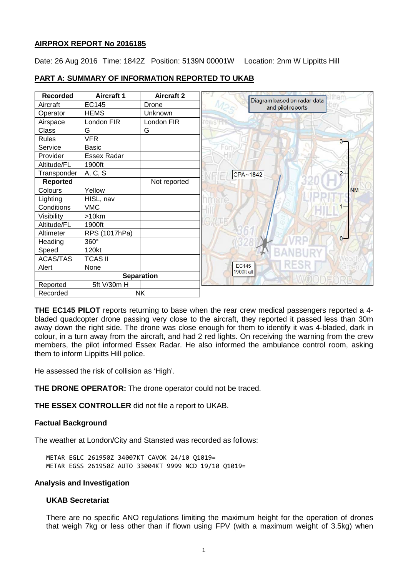#### **AIRPROX REPORT No 2016185**

Date: 26 Aug 2016 Time: 1842Z Position: 5139N 00001W Location: 2nm W Lippitts Hill

| <b>Recorded</b> | <b>Aircraft 1</b>  | <b>Aircraft 2</b> |                            |                                                  |  |
|-----------------|--------------------|-------------------|----------------------------|--------------------------------------------------|--|
| Aircraft        | <b>EC145</b>       | Drone             |                            | Diagram based on radar data<br>and pilot reports |  |
| Operator        | <b>HEMS</b>        | Unknown           |                            |                                                  |  |
| Airspace        | London FIR         | London FIR        | rews Fill                  |                                                  |  |
| Class           | G                  | G                 |                            |                                                  |  |
| <b>Rules</b>    | <b>VFR</b>         |                   |                            |                                                  |  |
| Service         | <b>Basic</b>       |                   | Forti                      |                                                  |  |
| Provider        | <b>Essex Radar</b> |                   |                            |                                                  |  |
| Altitude/FL     | 1900ft             |                   |                            |                                                  |  |
| Transponder     | A, C, S            |                   | CPA~1842                   |                                                  |  |
| <b>Reported</b> |                    | Not reported      |                            |                                                  |  |
| Colours         | Yellow             |                   |                            |                                                  |  |
| Lighting        | HISL, nav          |                   |                            |                                                  |  |
| Conditions      | <b>VMC</b>         |                   |                            |                                                  |  |
| Visibility      | >10km              |                   |                            |                                                  |  |
| Altitude/FL     | 1900ft             |                   |                            |                                                  |  |
| Altimeter       | RPS (1017hPa)      |                   |                            |                                                  |  |
| Heading         | 360°               |                   |                            |                                                  |  |
| Speed           | 120kt              |                   |                            |                                                  |  |
| ACAS/TAS        | <b>TCAS II</b>     |                   |                            |                                                  |  |
| Alert           | None               |                   | <b>EC145</b><br>1900ft alt |                                                  |  |
|                 |                    | <b>Separation</b> |                            |                                                  |  |
| Reported        | 5ft V/30m H        |                   |                            |                                                  |  |
| Recorded        |                    | <b>NK</b>         |                            |                                                  |  |

## **PART A: SUMMARY OF INFORMATION REPORTED TO UKAB**

**THE EC145 PILOT** reports returning to base when the rear crew medical passengers reported a 4 bladed quadcopter drone passing very close to the aircraft, they reported it passed less than 30m away down the right side. The drone was close enough for them to identify it was 4-bladed, dark in colour, in a turn away from the aircraft, and had 2 red lights. On receiving the warning from the crew members, the pilot informed Essex Radar. He also informed the ambulance control room, asking them to inform Lippitts Hill police.

He assessed the risk of collision as 'High'.

**THE DRONE OPERATOR:** The drone operator could not be traced.

**THE ESSEX CONTROLLER** did not file a report to UKAB.

### **Factual Background**

The weather at London/City and Stansted was recorded as follows:

METAR EGLC 261950Z 34007KT CAVOK 24/10 Q1019= METAR EGSS 261950Z AUTO 33004KT 9999 NCD 19/10 Q1019=

### **Analysis and Investigation**

### **UKAB Secretariat**

There are no specific ANO regulations limiting the maximum height for the operation of drones that weigh 7kg or less other than if flown using FPV (with a maximum weight of 3.5kg) when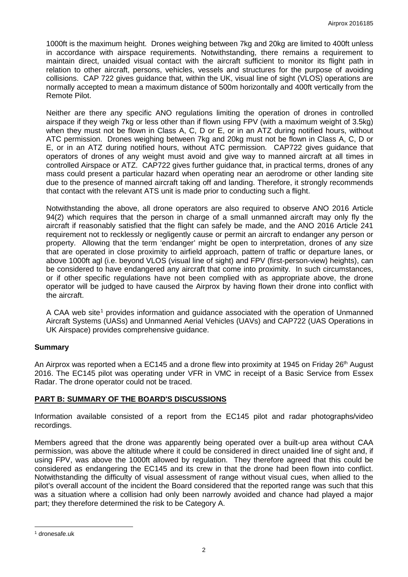1000ft is the maximum height. Drones weighing between 7kg and 20kg are limited to 400ft unless in accordance with airspace requirements. Notwithstanding, there remains a requirement to maintain direct, unaided visual contact with the aircraft sufficient to monitor its flight path in relation to other aircraft, persons, vehicles, vessels and structures for the purpose of avoiding collisions. CAP 722 gives guidance that, within the UK, visual line of sight (VLOS) operations are normally accepted to mean a maximum distance of 500m horizontally and 400ft vertically from the Remote Pilot.

Neither are there any specific ANO regulations limiting the operation of drones in controlled airspace if they weigh 7kg or less other than if flown using FPV (with a maximum weight of 3.5kg) when they must not be flown in Class A, C, D or E, or in an ATZ during notified hours, without ATC permission. Drones weighing between 7kg and 20kg must not be flown in Class A, C, D or E, or in an ATZ during notified hours, without ATC permission. CAP722 gives guidance that operators of drones of any weight must avoid and give way to manned aircraft at all times in controlled Airspace or ATZ. CAP722 gives further guidance that, in practical terms, drones of any mass could present a particular hazard when operating near an aerodrome or other landing site due to the presence of manned aircraft taking off and landing. Therefore, it strongly recommends that contact with the relevant ATS unit is made prior to conducting such a flight.

Notwithstanding the above, all drone operators are also required to observe ANO 2016 Article 94(2) which requires that the person in charge of a small unmanned aircraft may only fly the aircraft if reasonably satisfied that the flight can safely be made, and the ANO 2016 Article 241 requirement not to recklessly or negligently cause or permit an aircraft to endanger any person or property. Allowing that the term 'endanger' might be open to interpretation, drones of any size that are operated in close proximity to airfield approach, pattern of traffic or departure lanes, or above 1000ft agl (i.e. beyond VLOS (visual line of sight) and FPV (first-person-view) heights), can be considered to have endangered any aircraft that come into proximity. In such circumstances, or if other specific regulations have not been complied with as appropriate above, the drone operator will be judged to have caused the Airprox by having flown their drone into conflict with the aircraft.

A CAA web site<sup>[1](#page-1-0)</sup> provides information and guidance associated with the operation of Unmanned Aircraft Systems (UASs) and Unmanned Aerial Vehicles (UAVs) and CAP722 (UAS Operations in UK Airspace) provides comprehensive guidance.

#### **Summary**

An Airprox was reported when a EC145 and a drone flew into proximity at 1945 on Friday 26<sup>th</sup> August 2016. The EC145 pilot was operating under VFR in VMC in receipt of a Basic Service from Essex Radar. The drone operator could not be traced.

#### **PART B: SUMMARY OF THE BOARD'S DISCUSSIONS**

Information available consisted of a report from the EC145 pilot and radar photographs/video recordings.

Members agreed that the drone was apparently being operated over a built-up area without CAA permission, was above the altitude where it could be considered in direct unaided line of sight and, if using FPV, was above the 1000ft allowed by regulation. They therefore agreed that this could be considered as endangering the EC145 and its crew in that the drone had been flown into conflict. Notwithstanding the difficulty of visual assessment of range without visual cues, when allied to the pilot's overall account of the incident the Board considered that the reported range was such that this was a situation where a collision had only been narrowly avoided and chance had played a major part; they therefore determined the risk to be Category A.

 $\overline{\phantom{a}}$ 

<span id="page-1-0"></span><sup>1</sup> dronesafe.uk